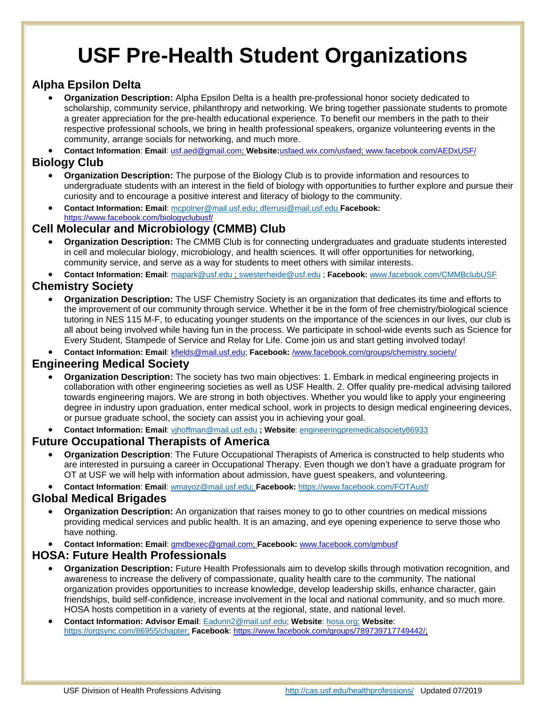# **USF Pre-Health Student Organizations**

# **Alpha Epsilon Delta**

 **Organization Description:** Alpha Epsilon Delta is a health pre-professional honor society dedicated to scholarship, community service, philanthropy and networking. We bring together passionate students to promote a greater appreciation for the pre-health educational experience. To benefit our members in the path to their respective professional schools, we bring in health professional speakers, organize volunteering events in the community, arrange socials for networking, and much more.

**Contact Information**: **Email**: usf.aed@gmail.com; **Website:**usfaed.wix.com/usfaed; www.facebook.com/AEDxUSF/

### **Biology Club**

- **Organization Description:** The purpose of the Biology Club is to provide information and resources to undergraduate students with an interest in the field of biology with opportunities to further explore and pursue their curiosity and to encourage a positive interest and literacy of biology to the community.
- **Contact Information: Email**: mcpolner@mail.usf.edu; dferrusi@mail.usf.edu **Facebook:**  https://www.facebook.com/biologyclubusf/

## **Cell Molecular and Microbiology (CMMB) Club**

 **Organization Description:** The CMMB Club is for connecting undergraduates and graduate students interested in cell and molecular biology, microbiology, and health sciences. It will offer opportunities for networking, community service, and serve as a way for students to meet others with similar interests.

**Contact Information: Email**: mapark@usf.edu ; swesterheide@usf.edu ; **Facebook:** www.facebook.com/CMMBclubUSF

# **Chemistry Society**

 **Organization Description:** The USF Chemistry Society is an organization that dedicates its time and efforts to the improvement of our community through service. Whether it be in the form of free chemistry/biological science tutoring in NES 115 M-F, to educating younger students on the importance of the sciences in our lives, our club is all about being involved while having fun in the process. We participate in school-wide events such as Science for Every Student, Stampede of Service and Relay for Life. Come join us and start getting involved today!

**Contact Information: Email**: kfields@mail.usf.edu; **Facebook:** /www.facebook.com/groups/chemistry.society/

## **Engineering Medical Society**

- **Organization Description:** The society has two main objectives: 1. Embark in medical engineering projects in collaboration with other engineering societies as well as USF Health. 2. Offer quality pre-medical advising tailored towards engineering majors. We are strong in both objectives. Whether you would like to apply your engineering degree in industry upon graduation, enter medical school, work in projects to design medical engineering devices, or pursue graduate school, the society can assist you in achieving your goal.
- **Contact Information: Email**: vjhoffman@mail.usf.edu **; Website**: engineeringpremedicalsociety86933

## **Future Occupational Therapists of America**

- **Organization Description**: The Future Occupational Therapists of America is constructed to help students who are interested in pursuing a career in Occupational Therapy. Even though we don't have a graduate program for OT at USF we will help with information about admission, have guest speakers, and volunteering.
- **Contact Information**: **Email**: wmayoz@mail.usf.edu; **Facebook:** https://www.facebook.com/FOTAusf/

#### **Global Medical Brigades**

- **Organization Description:** An organization that raises money to go to other countries on medical missions providing medical services and public health. It is an amazing, and eye opening experience to serve those who have nothing.
- **Contact Information: Email**: gmdbexec@gmail.com; **Facebook:** www.facebook.com/gmbusf

#### **HOSA: Future Health Professionals**

- **Organization Description:** Future Health Professionals aim to develop skills through motivation recognition, and awareness to increase the delivery of compassionate, quality health care to the community. The national organization provides opportunities to increase knowledge, develop leadership skills, enhance character, gain friendships, build self-confidence, increase involvement in the local and national community, and so much more. HOSA hosts competition in a variety of events at the regional, state, and national level.
- **Contact Information: Advisor Email**: Eadunn2@mail.usf.edu; **Website**: hosa.org; **Website**: https://orgsync.com/86955/chapter; **Facebook**: https://www.facebook.com/groups/789739717749442/;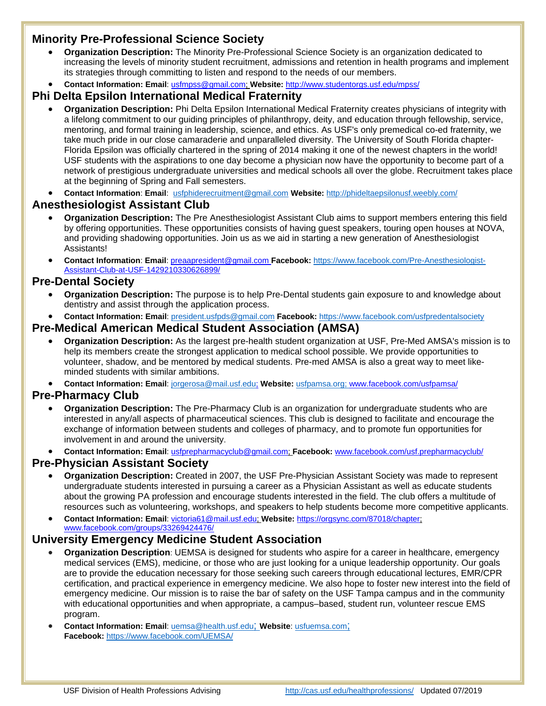## **Minority Pre-Professional Science Society**

- **Organization Description:** The Minority Pre-Professional Science Society is an organization dedicated to increasing the levels of minority student recruitment, admissions and retention in health programs and implement its strategies through committing to listen and respond to the needs of our members.
- **Contact Information: Email**: usfmpss@gmail.com; **Website:** http://www.studentorgs.usf.edu/mpss/

### **Phi Delta Epsilon International Medical Fraternity**

- **Organization Description:** Phi Delta Epsilon International Medical Fraternity creates physicians of integrity with a lifelong commitment to our guiding principles of philanthropy, deity, and education through fellowship, service, mentoring, and formal training in leadership, science, and ethics. As USF's only premedical co-ed fraternity, we take much pride in our close camaraderie and unparalleled diversity. The University of South Florida chapter-Florida Epsilon was officially chartered in the spring of 2014 making it one of the newest chapters in the world! USF students with the aspirations to one day become a physician now have the opportunity to become part of a network of prestigious undergraduate universities and medical schools all over the globe. Recruitment takes place at the beginning of Spring and Fall semesters.
- **Contact Information**: **Email**: usfphiderecruitment@gmail.com **Website:** http://phideltaepsilonusf.weebly.com/

#### **Anesthesiologist Assistant Club**

- **Organization Description:** The Pre Anesthesiologist Assistant Club aims to support members entering this field by offering opportunities. These opportunities consists of having guest speakers, touring open houses at NOVA, and providing shadowing opportunities. Join us as we aid in starting a new generation of Anesthesiologist Assistants!
- **Contact Information**: **Email**: preaapresident@gmail.com **Facebook:** https://www.facebook.com/Pre-Anesthesiologist-Assistant-Club-at-USF-1429210330626899/

#### **Pre-Dental Society**

- **Organization Description:** The purpose is to help Pre-Dental students gain exposure to and knowledge about dentistry and assist through the application process.
- **Contact Information: Email**: president.usfpds@gmail.com **Facebook:** https://www.facebook.com/usfpredentalsociety

#### **Pre-Medical American Medical Student Association (AMSA)**

- **Organization Description:** As the largest pre-health student organization at USF, Pre-Med AMSA's mission is to help its members create the strongest application to medical school possible. We provide opportunities to volunteer, shadow, and be mentored by medical students. Pre-med AMSA is also a great way to meet likeminded students with similar ambitions.
- **Contact Information: Email**: jorgerosa@mail.usf.edu; **Website:** usfpamsa.org; www.facebook.com/usfpamsa/

#### **Pre-Pharmacy Club**

- **Organization Description:** The Pre-Pharmacy Club is an organization for undergraduate students who are interested in any/all aspects of pharmaceutical sciences. This club is designed to facilitate and encourage the exchange of information between students and colleges of pharmacy, and to promote fun opportunities for involvement in and around the university.
- **Contact Information: Email**: usfprepharmacyclub@gmail.com; **Facebook:** www.facebook.com/usf.prepharmacyclub/

#### **Pre-Physician Assistant Society**

 **Organization Description:** Created in 2007, the USF Pre-Physician Assistant Society was made to represent undergraduate students interested in pursuing a career as a Physician Assistant as well as educate students about the growing PA profession and encourage students interested in the field. The club offers a multitude of resources such as volunteering, workshops, and speakers to help students become more competitive applicants.

 **Contact Information: Email**: victoria61@mail.usf.edu; **Website:** https://orgsync.com/87018/chapter; www.facebook.com/groups/33269424476/

#### **University Emergency Medicine Student Association**

- **Organization Description**: UEMSA is designed for students who aspire for a career in healthcare, emergency medical services (EMS), medicine, or those who are just looking for a unique leadership opportunity. Our goals are to provide the education necessary for those seeking such careers through educational lectures, EMR/CPR certification, and practical experience in emergency medicine. We also hope to foster new interest into the field of emergency medicine. Our mission is to raise the bar of safety on the USF Tampa campus and in the community with educational opportunities and when appropriate, a campus–based, student run, volunteer rescue EMS program.
- **Contact Information: Email**: uemsa@health.usf.edu; **Website**: usfuemsa.com; **Facebook:** https://www.facebook.com/UEMSA/